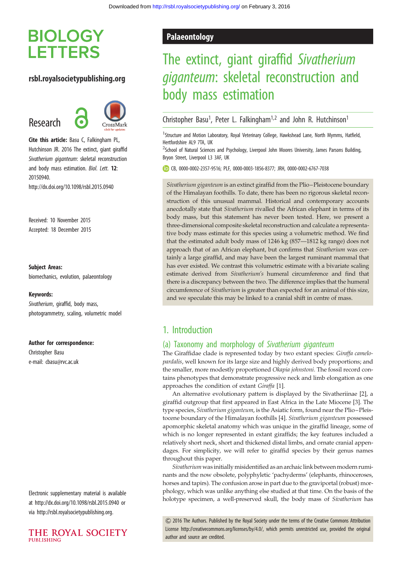# **BIOLOGY LETTERS**

## rsbl.royalsocietypublishing.org

Research



Cite this article: Basu C, Falkingham PL, Hutchinson JR. 2016 The extinct, giant giraffid Sivatherium giganteum: skeletal reconstruction and body mass estimation. Biol. Lett. 12: 20150940. http://dx.doi.org/10.1098/rsbl.2015.0940

Received: 10 November 2015 Accepted: 18 December 2015

#### Subject Areas:

biomechanics, evolution, palaeontology

#### Keywords:

Sivatherium, giraffid, body mass, photogrammetry, scaling, volumetric model

#### Author for correspondence:

Christopher Basu e-mail: [cbasu@rvc.ac.uk](mailto:cbasu@rvc.ac.uk)

Electronic supplementary material is available at<http://dx.doi.org/10.1098/rsbl.2015.0940> or via<http://rsbl.royalsocietypublishing.org>.



## Palaeontology

# The extinct, giant giraffid Sivatherium giganteum: skeletal reconstruction and body mass estimation

Christopher Basu<sup>1</sup>, Peter L. Falkingham<sup>1,2</sup> and John R. Hutchinson<sup>1</sup>

<sup>1</sup>Structure and Motion Laboratory, Royal Veterinary College, Hawkshead Lane, North Mymms, Hatfield, Hertfordshire AL9 7TA, UK

<sup>2</sup>School of Natural Sciences and Psychology, Liverpool John Moores University, James Parsons Building, Bryon Street, Liverpool L3 3AF, UK

CB, [0000-0002-2357-9516](http://orcid.org/0000-0002-2357-9516); PLF, [0000-0003-1856-8377](http://orcid.org/0000-0003-1856-8377); JRH, [0000-0002-6767-7038](http://orcid.org/0000-0002-6767-7038)

Sivatherium giganteum is an extinct giraffid from the Plio–Pleistocene boundary of the Himalayan foothills. To date, there has been no rigorous skeletal reconstruction of this unusual mammal. Historical and contemporary accounts anecdotally state that Sivatherium rivalled the African elephant in terms of its body mass, but this statement has never been tested. Here, we present a three-dimensional composite skeletal reconstruction and calculate a representative body mass estimate for this species using a volumetric method. We find that the estimated adult body mass of 1246 kg (857—1812 kg range) does not approach that of an African elephant, but confirms that Sivatherium was certainly a large giraffid, and may have been the largest ruminant mammal that has ever existed. We contrast this volumetric estimate with a bivariate scaling estimate derived from Sivatherium's humeral circumference and find that there is a discrepancy between the two. The difference implies that the humeral circumference of Sivatherium is greater than expected for an animal of this size, and we speculate this may be linked to a cranial shift in centre of mass.

## 1. Introduction

## (a) Taxonomy and morphology of Sivatherium giganteum

The Giraffidae clade is represented today by two extant species: Giraffa camelopardalis, well known for its large size and highly derived body proportions; and the smaller, more modestly proportioned Okapia johnstoni. The fossil record contains phenotypes that demonstrate progressive neck and limb elongation as one approaches the condition of extant Giraffa [[1](#page-3-0)].

An alternative evolutionary pattern is displayed by the Sivatheriinae [\[2\]](#page-3-0), a giraffid outgroup that first appeared in East Africa in the Late Miocene [[3](#page-3-0)]. The type species, Sivatherium giganteum, is the Asiatic form, found near the Plio–Pleistocene boundary of the Himalayan foothills [[4](#page-3-0)]. Sivatherium giganteum possessed apomorphic skeletal anatomy which was unique in the giraffid lineage, some of which is no longer represented in extant giraffids; the key features included a relatively short neck, short and thickened distal limbs, and ornate cranial appendages. For simplicity, we will refer to giraffid species by their genus names throughout this paper.

Sivatherium was initially misidentified as an archaic link between modern ruminants and the now obsolete, polyphyletic 'pachyderms' (elephants, rhinoceroses, horses and tapirs). The confusion arose in part due to the graviportal (robust) morphology, which was unlike anything else studied at that time. On the basis of the holotype specimen, a well-preserved skull, the body mass of Sivatherium has

& 2016 The Authors. Published by the Royal Society under the terms of the Creative Commons Attribution License [http://creativecommons.org/licenses/by/4.0/, which permits unrestricted use, provided the original](http://creativecommons.org/licenses/by/4.0/) [author and source are credited.](http://creativecommons.org/licenses/by/4.0/)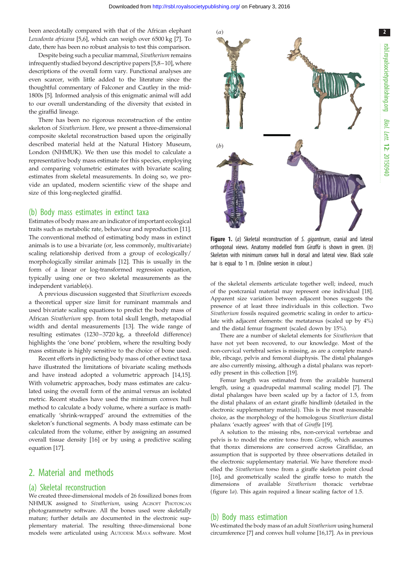2

<span id="page-1-0"></span>been anecdotally compared with that of the African elephant Loxodonta africana [\[5,6](#page-3-0)], which can weigh over 6500 kg [\[7](#page-3-0)]. To date, there has been no robust analysis to test this comparison.

Despite being such a peculiar mammal, Sivatherium remains infrequently studied beyond descriptive papers [[5,8](#page-3-0)–[10\]](#page-3-0), where descriptions of the overall form vary. Functional analyses are even scarcer, with little added to the literature since the thoughtful commentary of Falconer and Cautley in the mid-1800s [\[5\]](#page-3-0). Informed analysis of this enigmatic animal will add to our overall understanding of the diversity that existed in the giraffid lineage.

There has been no rigorous reconstruction of the entire skeleton of Sivatherium. Here, we present a three-dimensional composite skeletal reconstruction based upon the originally described material held at the Natural History Museum, London (NHMUK). We then use this model to calculate a representative body mass estimate for this species, employing and comparing volumetric estimates with bivariate scaling estimates from skeletal measurements. In doing so, we provide an updated, modern scientific view of the shape and size of this long-neglected giraffid.

### (b) Body mass estimates in extinct taxa

Estimates of body mass are an indicator of important ecological traits such as metabolic rate, behaviour and reproduction [\[11](#page-3-0)]. The conventional method of estimating body mass in extinct animals is to use a bivariate (or, less commonly, multivariate) scaling relationship derived from a group of ecologically/ morphologically similar animals [\[12](#page-3-0)]. This is usually in the form of a linear or log-transformed regression equation, typically using one or two skeletal measurements as the independent variable(s).

A previous discussion suggested that Sivatherium exceeds a theoretical upper size limit for ruminant mammals and used bivariate scaling equations to predict the body mass of African Sivatherium spp. from total skull length, metapodial width and dental measurements [\[13](#page-3-0)]. The wide range of resulting estimates (1230–3720 kg, a threefold difference) highlights the 'one bone' problem, where the resulting body mass estimate is highly sensitive to the choice of bone used.

Recent efforts in predicting body mass of other extinct taxa have illustrated the limitations of bivariate scaling methods and have instead adopted a volumetric approach [\[14,15](#page-3-0)]. With volumetric approaches, body mass estimates are calculated using the overall form of the animal versus an isolated metric. Recent studies have used the minimum convex hull method to calculate a body volume, where a surface is mathematically 'shrink-wrapped' around the extremities of the skeleton's functional segments. A body mass estimate can be calculated from the volume, either by assigning an assumed overall tissue density [[16\]](#page-3-0) or by using a predictive scaling equation [[17\]](#page-3-0).

## 2. Material and methods

### (a) Skeletal reconstruction

We created three-dimensional models of 26 fossilized bones from NHMUK assigned to Sivatherium, using AGISOFT PHOTOSCAN photogrammetry software. All the bones used were skeletally mature; further details are documented in the electronic supplementary material. The resulting three-dimensional bone models were articulated using AUTODESK MAYA software. Most



Figure 1. (a) Skeletal reconstruction of S. giganteum, cranial and lateral orthogonal views. Anatomy modelled from Giraffa is shown in green. (b) Skeleton with minimum convex hull in dorsal and lateral view. Black scale bar is equal to 1 m. (Online version in colour.)

of the skeletal elements articulate together well; indeed, much of the postcranial material may represent one individual [\[18\]](#page-3-0). Apparent size variation between adjacent bones suggests the presence of at least three individuals in this collection. Two Sivatherium fossils required geometric scaling in order to articulate with adjacent elements: the metatarsus (scaled up by 4%) and the distal femur fragment (scaled down by 15%).

There are a number of skeletal elements for Sivatherium that have not yet been recovered, to our knowledge. Most of the non-cervical vertebral series is missing, as are a complete mandible, ribcage, pelvis and femoral diaphysis. The distal phalanges are also currently missing, although a distal phalanx was reportedly present in this collection [\[19\]](#page-3-0).

Femur length was estimated from the available humeral length, using a quadrupedal mammal scaling model [\[7\]](#page-3-0). The distal phalanges have been scaled up by a factor of 1.5, from the distal phalanx of an extant giraffe hindlimb (detailed in the electronic supplementary material). This is the most reasonable choice, as the morphology of the homologous Sivatherium distal phalanx 'exactly agrees' with that of Giraffa [\[19\]](#page-3-0).

A solution to the missing ribs, non-cervical vertebrae and pelvis is to model the entire torso from Giraffa, which assumes that thorax dimensions are conserved across Giraffidae, an assumption that is supported by three observations detailed in the electronic supplementary material. We have therefore modelled the Sivatherium torso from a giraffe skeleton point cloud [[16](#page-3-0)], and geometrically scaled the giraffe torso to match the dimensions of available Sivatherium thoracic vertebrae (figure 1a). This again required a linear scaling factor of 1.5.

## (b) Body mass estimation

We estimated the body mass of an adult Sivatherium using humeral circumference [\[7](#page-3-0)] and convex hull volume [\[16,17](#page-3-0)]. As in previous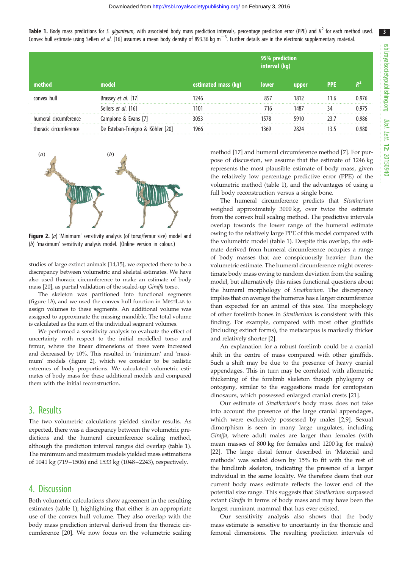Table 1. Body mass predictions for S. giganteum, with associated body mass prediction intervals, percentage prediction error (PPE) and  $R^2$  for each method used. Convex hull estimate using Sellers et al. [[16](#page-3-0)] assumes a mean body density of 893.36 kg m<sup>-3</sup>. Further details are in the electronic supplementary material.

| \method'               | model                             | estimated mass (kg) | 95% prediction<br>interval (kg) |       |            |       |
|------------------------|-----------------------------------|---------------------|---------------------------------|-------|------------|-------|
|                        |                                   |                     | <b>lower</b>                    | upper | <b>PPE</b> |       |
| convex hull            | Brassey et al. [17]               |                     | 857                             | 1812  | 11.6       | 976 ا |
|                        | Sellers et al. [16]               | 101                 | 716                             | 1487  |            | 0.975 |
| humeral circumference  | Campione & Evans [7]              | 3053                | 1578                            | 5910  | 23 J       | 1.986 |
| thoracic circumference | De Esteban-Trivigno & Köhler [20] | 1966                | 1369                            |       |            | 1.980 |



Figure 2. (a) 'Minimum' sensitivity analysis (of torso/femur size) model and (b) 'maximum' sensitivity analysis model. (Online version in colour.)

studies of large extinct animals [[14,15\]](#page-3-0), we expected there to be a discrepancy between volumetric and skeletal estimates. We have also used thoracic circumference to make an estimate of body mass [\[20\]](#page-3-0), as partial validation of the scaled-up Giraffa torso.

The skeleton was partitioned into functional segments [\(figure 1](#page-1-0)b), and we used the convex hull function in MESHLAB to assign volumes to these segments. An additional volume was assigned to approximate the missing mandible. The total volume is calculated as the sum of the individual segment volumes.

We performed a sensitivity analysis to evaluate the effect of uncertainty with respect to the initial modelled torso and femur, where the linear dimensions of these were increased and decreased by 10%. This resulted in 'minimum' and 'maximum' models (figure 2), which we consider to be realistic extremes of body proportions. We calculated volumetric estimates of body mass for these additional models and compared them with the initial reconstruction.

## 3. Results

The two volumetric calculations yielded similar results. As expected, there was a discrepancy between the volumetric predictions and the humeral circumference scaling method, although the prediction interval ranges did overlap (table 1). The minimum and maximum models yielded mass estimations of 1041 kg (719–1506) and 1533 kg (1048–2243), respectively.

## 4. Discussion

Both volumetric calculations show agreement in the resulting estimates (table 1), highlighting that either is an appropriate use of the convex hull volume. They also overlap with the body mass prediction interval derived from the thoracic circumference [[20\]](#page-3-0). We now focus on the volumetric scaling

method [[17\]](#page-3-0) and humeral circumference method [[7\]](#page-3-0). For purpose of discussion, we assume that the estimate of 1246 kg represents the most plausible estimate of body mass, given the relatively low percentage predictive error (PPE) of the volumetric method (table 1), and the advantages of using a full body reconstruction versus a single bone.

The humeral circumference predicts that Sivatherium weighed approximately 3000 kg, over twice the estimate from the convex hull scaling method. The predictive intervals overlap towards the lower range of the humeral estimate owing to the relatively large PPE of this model compared with the volumetric model (table 1). Despite this overlap, the estimate derived from humeral circumference occupies a range of body masses that are conspicuously heavier than the volumetric estimate. The humeral circumference might overestimate body mass owing to random deviation from the scaling model, but alternatively this raises functional questions about the humeral morphology of Sivatherium. The discrepancy implies that on average the humerus has a larger circumference than expected for an animal of this size. The morphology of other forelimb bones in Sivatherium is consistent with this finding. For example, compared with most other giraffids (including extinct forms), the metacarpus is markedly thicker and relatively shorter [\[2\]](#page-3-0).

An explanation for a robust forelimb could be a cranial shift in the centre of mass compared with other giraffids. Such a shift may be due to the presence of heavy cranial appendages. This in turn may be correlated with allometric thickening of the forelimb skeleton though phylogeny or ontogeny, similar to the suggestions made for ceratopsian dinosaurs, which possessed enlarged cranial crests [[21\]](#page-3-0).

Our estimate of Sivatherium's body mass does not take into account the presence of the large cranial appendages, which were exclusively possessed by males [\[2,9\]](#page-3-0). Sexual dimorphism is seen in many large ungulates, including Giraffa, where adult males are larger than females (with mean masses of 800 kg for females and 1200 kg for males) [[22\]](#page-3-0). The large distal femur described in 'Material and methods' was scaled down by 15% to fit with the rest of the hindlimb skeleton, indicating the presence of a larger individual in the same locality. We therefore deem that our current body mass estimate reflects the lower end of the potential size range. This suggests that Sivatherium surpassed extant Giraffa in terms of body mass and may have been the largest ruminant mammal that has ever existed.

Our sensitivity analysis also shows that the body mass estimate is sensitive to uncertainty in the thoracic and femoral dimensions. The resulting prediction intervals of